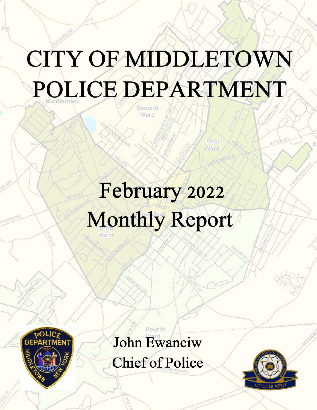# CITY OF MIDDLETOWN POLICE DEPARTMENT

February 2022 **Monthly Report** 



ilè.

John Ewanciw

Fourth

**Chief of Police** 

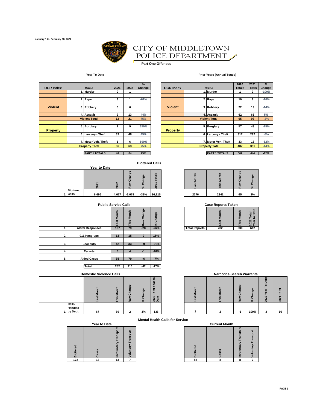

## CITY OF MIDDLETOWN POLICE DEPARTMENT

 $\blacksquare$ **Part One Offenses**

#### **Year To Date Prior Years (Annual Totals)**

| <b>UCR Index</b> | Crime                 | 2021         | 2022 | $\frac{9}{6}$<br>Change |
|------------------|-----------------------|--------------|------|-------------------------|
|                  | 1. Murder             | 0            |      |                         |
|                  | 2. Rape               | 3            | 1    | $-67%$                  |
| <b>Violent</b>   | 3. Robbery            | 0            | 6    |                         |
|                  | 4. Assault            | 9            | 13   | 44%                     |
|                  | <b>Violent Total</b>  | 12           | 21   | 75%                     |
|                  | 5. Burglary           | $\mathbf{2}$ | 9    | 350%                    |
| <b>Property</b>  |                       |              |      |                         |
|                  | 6. Larceny - Theft    | 33           | 48   | 45%                     |
|                  | 7. Motor Veh. Theft   | 1            | 6    | 500%                    |
|                  | <b>Property Total</b> | 36           | 63   | 75%                     |

| 75%<br>48<br><b>PART 1 TOTALS</b><br>84 | <b>PART 1 TOTALS</b> | 502 | <b>AAA</b> |
|-----------------------------------------|----------------------|-----|------------|

| <b>Blottered Calls</b> |  |
|------------------------|--|
|------------------------|--|

|  |                  |              |                  |                                        | <b>Blottered Calls</b>      |                                                |      |      |                                               |                                            |
|--|------------------|--------------|------------------|----------------------------------------|-----------------------------|------------------------------------------------|------|------|-----------------------------------------------|--------------------------------------------|
|  |                  | Year to Date |                  |                                        |                             |                                                |      |      |                                               |                                            |
|  |                  | ี            | $\sim$<br>Ñ<br>◠ | $\omega$<br>ත<br>$\mathbf c$<br>ā<br>n | $\mathbf{v}$<br>Ō<br>œ<br>ō | S<br><u>diai</u><br>⊢<br>$\overline{ }$<br>202 |      |      | $\omega$<br>ō<br>$\sigma$<br>$\mathbf c$<br>ā | $\pmb{\omega}$<br>ь<br>ω<br>ō<br>$\approx$ |
|  | <b>Blottered</b> |              |                  |                                        |                             |                                                |      |      |                                               |                                            |
|  | 1. Calls         | 6,696        | 4,617            | $-2,079$                               | $-31%$                      | 36,215                                         | 2276 | 2341 | 65                                            | 3%                                         |

|    | <b>Public Service Calls</b> |            |                 |                |               |                      | <b>Case Reports Taken</b> |             |                                  |
|----|-----------------------------|------------|-----------------|----------------|---------------|----------------------|---------------------------|-------------|----------------------------------|
|    |                             | Month<br>ä | ŧ<br>ខ្វ<br>nis | Change<br>Raw  | Change<br>వ్ౖ |                      | <b>Month</b><br>ast       | Month<br>is | Total<br>to Date<br>2022<br>Year |
|    | <b>Alarm Responses</b>      | 107        | 79              | $-28$          | $-26%$        | <b>Total Reports</b> | 282                       | 330         | 612                              |
|    |                             |            |                 |                |               |                      |                           |             |                                  |
| 2. | 911 Hang-ups                | 13         | 15              | $\overline{2}$ | 15%           |                      |                           |             |                                  |
|    |                             |            |                 |                |               |                      |                           |             |                                  |
| 3. | Lockouts                    | 42         | 33              | -9             | $-21%$        |                      |                           |             |                                  |
|    |                             |            |                 |                |               |                      |                           |             |                                  |
| 4. | <b>Escorts</b>              | 5          | 4               | $-1$           | $-20%$        |                      |                           |             |                                  |
|    |                             |            |                 |                |               |                      |                           |             |                                  |
| 5. | <b>Aided Cases</b>          | 85         | 79              | -6             | $-7%$         |                      |                           |             |                                  |
|    |                             |            |                 |                |               |                      |                           |             |                                  |

**Total 252 210 -42 -17%**

**Domestic Violence Calls** 

|                                    | Montl<br>ā | This Month | Change<br>Ra | Change<br>వ్ | ິ<br>Year<br><b>Total</b><br>2022<br>Date |
|------------------------------------|------------|------------|--------------|--------------|-------------------------------------------|
| Calls<br>Handled<br>by Dept.<br>1. | 67         | 69         | 2            | 3%           | 136                                       |

|  | <b>Year to Date</b> |  |
|--|---------------------|--|



|                 |                       |              |      | $\frac{9}{6}$ |                  |  |                       | 2020          | 2021          | $\frac{9}{6}$ |
|-----------------|-----------------------|--------------|------|---------------|------------------|--|-----------------------|---------------|---------------|---------------|
| <b>CR</b> Index | Crime                 | 2021         | 2022 | Change        | <b>UCR Index</b> |  | Crime                 | <b>Totals</b> | <b>Totals</b> | Change        |
|                 | . Murder              | $\bf{0}$     |      |               |                  |  | J. Murder             |               |               | $-100%$       |
|                 |                       |              |      |               |                  |  |                       |               |               |               |
|                 | 2. Rape               | 3            |      | $-67%$        |                  |  | 2. Rape               | 10            | 9             | $-10%$        |
|                 |                       |              |      |               |                  |  |                       |               |               |               |
| <b>Violent</b>  | 3. Robbery            | 0            | 6    |               | <b>Violent</b>   |  | 3. Robbery            | 22            | 19            | $-14%$        |
|                 |                       |              |      |               |                  |  |                       |               |               |               |
|                 | 4. Assault            | 9            | 13   | 44%           |                  |  | 4. Assault            | 62            | 65            | 5%            |
|                 | <b>Violent Total</b>  | 12           | 21   | 75%           |                  |  | <b>Violent Total</b>  | 95            | 93            | $-2%$         |
|                 |                       |              |      |               |                  |  |                       |               |               |               |
|                 | 5. Burglary           | $\mathbf{2}$ | 9    | 350%          |                  |  | 5. Burglary           | 57            | 43            | $-25%$        |
| <b>Property</b> |                       |              |      |               | <b>Property</b>  |  |                       |               |               |               |
|                 | 6. Larceny - Theft    | 33           | 48   | 45%           |                  |  | 6. Larceny - Theft    | 317           | 292           | $-8%$         |
|                 |                       |              |      |               |                  |  |                       |               |               |               |
|                 | 7. Motor Veh. Theft   |              | 6    | 500%          |                  |  | 7. Motor Veh. Theft   | 33            | 16            | $-52%$        |
|                 | <b>Property Total</b> | 36           | 63   | 75%           |                  |  | <b>Property Total</b> | 407           | 351           | $-14%$        |

| .   |             |                  |               |                         |      |      |              |    |
|-----|-------------|------------------|---------------|-------------------------|------|------|--------------|----|
|     | $\sim$<br>ົ | ත<br>Ō<br>œ<br>Ñ | ው<br>ත<br>. a | $\omega$<br>ಹ<br>Ń<br>e |      |      | ь<br>ω<br>۴Ÿ | œ  |
| 696 | 4,617       | $-2,079$         | $-31%$        | 36,215                  | 2276 | 2341 | 65           | 3% |

**Case Reports Taken** 

| -<br>ب<br>o<br>ä<br>ത | n<br>$\overline{\phantom{a}}$ |     | m<br>$\sim$ |                      |     | $\omega$ | m<br>−<br>ω |  |
|-----------------------|-------------------------------|-----|-------------|----------------------|-----|----------|-------------|--|
| 07                    |                               | -28 | $-26%$      | <b>Total Reports</b> | 282 | 330      | n.,         |  |

|                  | <b>Domestic Violence Calls</b> |              |                                                           |         |              |  | <b>Narcotics Search Warrants</b> |                |                         |                  |    |
|------------------|--------------------------------|--------------|-----------------------------------------------------------|---------|--------------|--|----------------------------------|----------------|-------------------------|------------------|----|
|                  |                                | 듵<br>š<br>Î٩ | Ф<br>Ō<br>ಹ<br>ō<br>$\overline{\mathfrak{a}}$<br>$\alpha$ | ge<br>ō | 2022<br>Date |  | $-1$                             | క్రి<br>ō<br>œ | န္တ<br>ω<br>ō<br>$\sim$ | ≏<br>۰<br>ನ<br>- |    |
| Calls<br>Handled |                                |              |                                                           |         |              |  |                                  |                |                         |                  |    |
| by Dept.         | 67                             | 69           | ີ                                                         | 3%      | 136          |  |                                  | -1             | 100%                    | 3                | 16 |

**Mental Health Calls for Service**

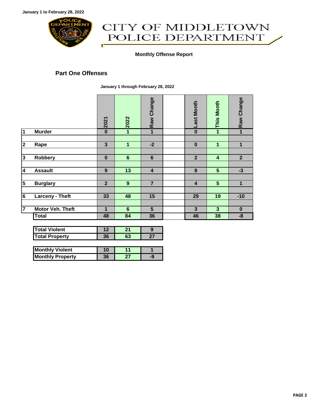

## CITY OF MIDDLETOWN POLICE DEPARTMENT ſ

#### **Monthly Offense Report**

#### **Part One Offenses**

**January 1 through February 28, 2022**

|                         |                  | 2021           | 2022            | Raw Change              | <b>Last Month</b>       | <b>This Month</b>       | Raw Change     |
|-------------------------|------------------|----------------|-----------------|-------------------------|-------------------------|-------------------------|----------------|
| $\overline{1}$          | <b>Murder</b>    | $\bf{0}$       | 1               | 1                       | $\bf{0}$                | 1                       | $\mathbf{1}$   |
|                         |                  |                |                 |                         |                         |                         |                |
| $\overline{\mathbf{2}}$ | Rape             | 3              | 1               | $-2$                    | $\bf{0}$                | 1                       | $\mathbf{1}$   |
|                         |                  |                |                 |                         |                         |                         |                |
| $\overline{3}$          | Robbery          | $\bf{0}$       | $6\phantom{1}6$ | $6\phantom{1}6$         | $\overline{2}$          | $\overline{\mathbf{4}}$ | $\overline{2}$ |
|                         |                  |                |                 |                         |                         |                         |                |
| 4                       | <b>Assault</b>   | 9              | 13              | $\overline{\mathbf{4}}$ | 8                       | $\overline{\mathbf{5}}$ | $-3$           |
|                         |                  |                |                 |                         |                         |                         |                |
| $\overline{5}$          | <b>Burglary</b>  | $\overline{2}$ | 9               | $\overline{7}$          | $\overline{\mathbf{4}}$ | $5\phantom{1}$          | 1              |
|                         |                  |                |                 |                         |                         |                         |                |
| 6                       | Larceny - Theft  | 33             | 48              | 15                      | 29                      | 19                      | $-10$          |
|                         |                  |                |                 |                         |                         |                         |                |
| 7                       | Motor Veh. Theft | 1              | $6\phantom{1}6$ | 5                       | 3                       | $\overline{\mathbf{3}}$ | $\bf{0}$       |
|                         | <b>Total</b>     | 48             | 84              | 36                      | 46                      | 38                      | -8             |

| <b>Total Violent</b>  |    |  |
|-----------------------|----|--|
| <b>Total Property</b> | 96 |  |

| <b>Monthly Violent</b>  |    |  |
|-------------------------|----|--|
| <b>Monthly Property</b> | 36 |  |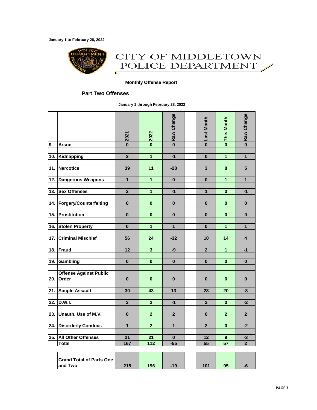**January 1 to February 28, 2022**



### CITY OF MIDDLETOWN POLICE DEPARTMENT Œ

#### **Monthly Offense Report**

#### **Part Two Offenses**

**January 1 through February 28, 2022**

|                   |                                            | $\frac{2021}{1}$        | $\frac{2022}{20}$       | <b>ORaw Change</b>      | <b>p</b> Last Month     | o This Month            | o Raw Change            |
|-------------------|--------------------------------------------|-------------------------|-------------------------|-------------------------|-------------------------|-------------------------|-------------------------|
| 9.                | <b>Arson</b>                               |                         |                         |                         |                         |                         |                         |
| 10.               | Kidnapping                                 | $\overline{2}$          | 1                       | $-1$                    | $\bf{0}$                | $\overline{1}$          | $\mathbf{1}$            |
| $\overline{11}$ . | <b>Narcotics</b>                           | 39                      | $\overline{11}$         | $-28$                   | $\overline{\mathbf{3}}$ | $\overline{\mathbf{8}}$ | $\overline{\mathbf{5}}$ |
| 12.               | Dangerous Weapons                          | 1                       | $\mathbf{1}$            | $\bf{0}$                | $\bf{0}$                | 1                       | $\mathbf{1}$            |
| 13.               | <b>Sex Offenses</b>                        | $\mathbf{2}$            | $\overline{\mathbf{1}}$ | $-1$                    | 1                       | $\bf{0}$                | $-1$                    |
| 14.               | Forgery/Counterfeiting                     | $\mathbf{0}$            | $\mathbf{0}$            | $\mathbf{0}$            | $\bf{0}$                | $\mathbf{0}$            | $\bf{0}$                |
| 15.               | Prostitution                               | $\bf{0}$                | $\bf{0}$                | $\bf{0}$                | $\bf{0}$                | $\bf{0}$                | $\bf{0}$                |
| 16.               | <b>Stolen Property</b>                     | $\mathbf{0}$            | 1                       | $\overline{1}$          | $\bf{0}$                | $\overline{1}$          | $\mathbf{1}$            |
| 17.               | <b>Criminal Mischief</b>                   | 56                      | 24                      | $-32$                   | 10                      | 14                      | $\overline{\mathbf{4}}$ |
| 18.               | Fraud                                      | 12                      | $\overline{\mathbf{3}}$ | -9                      | $\overline{2}$          | $\overline{1}$          | $-1$                    |
| 19.               | Gambling                                   | $\mathbf{0}$            | $\mathbf 0$             | $\mathbf{0}$            | $\mathbf{0}$            | $\bf{0}$                | $\mathbf{0}$            |
| 20.               | <b>Offense Against Public</b><br>Order     | $\bf{0}$                | $\pmb{0}$               | $\bf{0}$                | $\bf{0}$                | $\bf{0}$                | $\bf{0}$                |
| 21.               | <b>Simple Assault</b>                      | 30                      | 43                      | 13                      | 23                      | 20                      | $-3$                    |
| $\overline{22}$ . | <b>D.W.I.</b>                              | $\overline{\mathbf{3}}$ | $\overline{2}$          | $-1$                    | $\overline{2}$          | $\bf{0}$                | $-2$                    |
| 23.               | Unauth. Use of M.V.                        | $\bf{0}$                | $\overline{2}$          | $\overline{\mathbf{2}}$ | $\bf{0}$                | $\overline{2}$          | $\overline{2}$          |
| 24.               | <b>Disorderly Conduct.</b>                 | 1                       | $\overline{\mathbf{2}}$ | $\mathbf{1}$            | $\overline{\mathbf{2}}$ | $\bf{0}$                | $-2$                    |
| 25.               | <b>All Other Offenses</b><br><b>Total</b>  | 21<br>167               | 21<br>$\frac{1}{112}$   | $\bf{0}$<br>$-55$       | 12<br>55                | 9<br>57                 | $-3$<br>$\overline{2}$  |
|                   | <b>Grand Total of Parts One</b><br>and Two | 215                     | 196                     | $-19$                   | 101                     | 95                      | -6                      |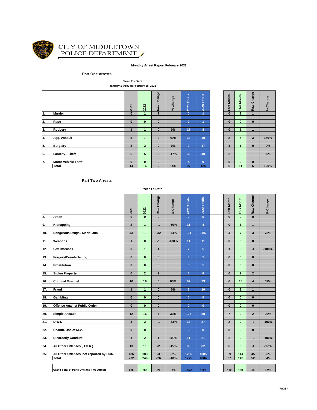

#### CITY OF MIDDLETOWN POLICE DEPARTMENT Í

#### **Monthly Arrest Report February 2022**

#### **Part One Arrests**

**Year To Date January 1 through February 28, 2022**

|    |                            | 2021           | 2022                     | Change<br>Raw  | % Change | <b>Totals</b><br>2021 | <b>Totals</b><br>2020 | Month<br>ast   | Month<br>This        | Change<br>Raw        | Change<br>$\mathcal{S}^{\mathbf{c}}$ |
|----|----------------------------|----------------|--------------------------|----------------|----------|-----------------------|-----------------------|----------------|----------------------|----------------------|--------------------------------------|
| 1. | Murder                     | $\bf{0}$       |                          | ٠              |          | $\mathbf{0}$          | $\blacktriangleleft$  | $\bf{0}$       | $\overline{1}$       | $\blacktriangleleft$ |                                      |
|    |                            |                |                          |                |          |                       |                       |                |                      |                      |                                      |
| 2. | Rape                       | $\bf{0}$       | $\mathbf{0}$             | $\mathbf{0}$   |          | 2                     |                       | $\bf{0}$       | $\mathbf{0}$         | $\mathbf{0}$         |                                      |
|    |                            |                |                          |                |          |                       |                       |                |                      |                      |                                      |
| 3. | Robbery                    | и              | $\blacktriangleleft$     | $\bf{0}$       | 0%       | 17                    | 8                     | $\bf{0}$       | $\blacktriangleleft$ | 1                    |                                      |
|    |                            |                |                          |                |          |                       |                       |                |                      |                      |                                      |
| 4. | Agg. Assault               | 5              | $\overline{\phantom{a}}$ | $\overline{2}$ | 40%      | 33                    | 40                    | $\overline{2}$ | 5                    | 3                    | 150%                                 |
|    |                            |                |                          |                |          |                       |                       |                |                      |                      |                                      |
| 5. | <b>Burglary</b>            | $\overline{2}$ | $\overline{2}$           | $\bf{0}$       | 0%       | 9                     | 17                    |                | $\blacktriangleleft$ | $\bf{0}$             | $0\%$                                |
|    |                            |                |                          |                |          |                       |                       |                |                      |                      |                                      |
| 6. | Larceny - Theft            | 6              | 5                        | $-1$           | $-17%$   | 32                    | 49                    | $\overline{2}$ | 3                    | 4                    | 50%                                  |
|    |                            |                |                          |                |          |                       |                       |                |                      |                      |                                      |
| 7. | <b>Motor Vehicle Theft</b> | $\bf{0}$       | $\mathbf{0}$             | $\bf{0}$       |          | 4                     | 9                     | $\bf{0}$       | $\mathbf{0}$         | $\bf{0}$             |                                      |
|    | <b>Total</b>               | 14             | 16                       | $\overline{2}$ | 14%      | 97                    | 125                   | 5              | 11                   | 6                    | 120%                                 |
|    |                            |                |                          |                |          |                       |                       |                |                      |                      |                                      |

| o Last Month            | -This Month     | Raw Change              | % Change |
|-------------------------|-----------------|-------------------------|----------|
|                         |                 | $\overline{1}$          |          |
|                         |                 |                         |          |
| $\bf{0}$                | $\bf{0}$        | $\bf{0}$                |          |
|                         |                 |                         |          |
| $\bf{0}$                | 1               | 1                       |          |
|                         |                 |                         |          |
| $\overline{2}$          | 5               | 3                       | 150%     |
|                         |                 |                         |          |
| 1                       | 1               | $\overline{\mathbf{0}}$ | 0%       |
|                         |                 |                         |          |
| $\overline{\mathbf{c}}$ | 3               | 1                       | 50%      |
|                         |                 |                         |          |
| 0                       | 0               | 0                       |          |
| 5                       | $\overline{11}$ | 6                       | 120%     |
|                         |                 |                         |          |

#### **Part Two Arrests**

**Year To Date**

|     |                                                 | 2021                    | 2022           | Raw Change              | % Change | 2021 Totals    | 2020 Totals    | Last Month     | This Month      | Raw Change              | % Change |
|-----|-------------------------------------------------|-------------------------|----------------|-------------------------|----------|----------------|----------------|----------------|-----------------|-------------------------|----------|
| 8.  | Arson                                           | $\bf{0}$                | $\mathbf{0}$   | $\mathbf{0}$            |          | $\overline{2}$ | $\mathbf{0}$   | $\mathbf{0}$   | $\mathbf{0}$    | $\mathbf{0}$            |          |
|     |                                                 |                         |                |                         |          |                |                |                |                 |                         |          |
| 9.  | Kidnapping                                      | $\overline{2}$          | $\overline{1}$ | $-1$                    | $-50%$   | 11             | $\overline{4}$ | $\pmb{0}$      | $\mathbf{1}$    | $\mathbf{1}$            |          |
|     |                                                 |                         |                |                         |          |                |                |                |                 |                         |          |
| 10. | Dangerous Drugs / Marihuana                     | 43                      | 11             | $-32$                   | $-74%$   | 161            | 385            | 4              | $\overline{7}$  | $\mathbf{3}$            | 75%      |
| 11. | Weapons                                         | $\mathbf{1}$            | $\mathbf{0}$   | $-1$                    | $-100%$  | 11             | 11             | $\bf{0}$       | $\mathbf{0}$    | $\bf{0}$                |          |
|     |                                                 |                         |                |                         |          |                |                |                |                 |                         |          |
| 12. | <b>Sex Offenses</b>                             | $\mathbf{0}$            | $\mathbf{1}$   | $\mathbf{1}$            |          | $\overline{7}$ | $\overline{5}$ | $\mathbf{1}$   | $\mathbf{0}$    | $-1$                    | $-100%$  |
|     |                                                 |                         |                |                         |          |                |                |                |                 |                         |          |
| 13. | <b>Forgery/Counterfeiting</b>                   | $\mathbf{0}$            | $\mathbf{0}$   | $\bf{0}$                |          | 3              | 1              | $\bf{0}$       | $\mathbf{0}$    | $\mathbf{0}$            |          |
|     |                                                 |                         |                |                         |          |                |                |                |                 |                         |          |
| 14. | <b>Prostitution</b>                             | $\bf{0}$                | $\mathbf{0}$   | $\mathbf{0}$            |          | $\mathbf{0}$   | 5              | $\pmb{0}$      | $\mathbf{0}$    | $\mathbf{0}$            |          |
|     |                                                 |                         |                |                         |          |                |                |                |                 |                         |          |
| 15. | <b>Stolen Property</b>                          | $\mathbf{0}$            | $\overline{2}$ | $\overline{\mathbf{2}}$ |          | 6              | 6              | $\mathbf{0}$   | $\overline{2}$  | $\overline{\mathbf{2}}$ |          |
|     |                                                 | 10                      |                |                         |          |                |                |                | 10              |                         |          |
| 16. | <b>Criminal Mischief</b>                        |                         | 16             | 6                       | 60%      | 67             | 73             | 6              |                 | $\overline{\mathbf{4}}$ | 67%      |
| 17. | Fraud                                           | $\mathbf{1}$            | $\mathbf{1}$   | $\mathbf{0}$            | 0%       | 5              | 10             | $\mathbf{0}$   | $\mathbf{1}$    | $\mathbf{1}$            |          |
|     |                                                 |                         |                |                         |          |                |                |                |                 |                         |          |
| 18. | Gambling                                        | $\mathbf{0}$            | $\mathbf{0}$   | $\bf{0}$                |          | $\mathbf{0}$   | $\mathbf{0}$   | $\bf{0}$       | $\mathbf{0}$    | $\mathbf{0}$            |          |
|     |                                                 |                         |                |                         |          |                |                |                |                 |                         |          |
| 19. | <b>Offense Against Public Order</b>             | $\mathbf{0}$            | $\mathbf{0}$   | $\mathbf{0}$            |          | $\mathbf{0}$   | $\bf{0}$       | $\pmb{0}$      | $\mathbf{0}$    | $\mathbf{0}$            |          |
|     |                                                 |                         |                |                         |          |                |                |                |                 |                         |          |
| 20. | <b>Simple Assault</b>                           | 12                      | 16             | $\overline{\mathbf{4}}$ | 33%      | 107            | 89             | $\overline{7}$ | 9               | $\overline{2}$          | 29%      |
|     |                                                 |                         |                |                         |          |                |                |                |                 |                         |          |
| 21. | D.W.I.                                          | $\overline{\mathbf{3}}$ | $\overline{2}$ | $-1$                    | $-33%$   | 33             | 27             | $\mathbf{2}$   | $\mathbf{0}$    | $-2$                    | $-100%$  |
| 22. | Unauth. Use of M.V.                             | $\mathbf{0}$            | $\mathbf{0}$   | $\bf{0}$                |          | $\mathbf{0}$   | $\mathbf{0}$   | $\bf{0}$       | $\mathbf{0}$    | $\mathbf{0}$            |          |
|     |                                                 |                         |                |                         |          |                |                |                |                 |                         |          |
| 23. | <b>Disorderly Conduct</b>                       | $\mathbf{1}$            | $\overline{2}$ | $\mathbf{1}$            | 100%     | 11             | 21             | $\overline{2}$ | $\mathbf{0}$    | $-2$                    | $-100%$  |
|     |                                                 |                         |                |                         |          |                |                |                |                 |                         |          |
| 24. | All Other Offenses (U.C.R.)                     | 13                      | 11             | $-2$                    | $-15%$   | 86             | 82             | 6              | $5\overline{5}$ | $-1$                    | $-17%$   |
|     |                                                 |                         |                |                         |          |                |                |                |                 |                         |          |
| 25. | All Other Offenses not reported by UCR.         | 186                     | 183            | $-3$                    | $-2%$    | 1265           | 1085           | 69             | 114             | 45                      | 65%      |
|     | <b>Total</b>                                    | 272                     | 246            | $-26$                   | $-10%$   | 1775           | 1804           | 97             | 149             | 52                      | 54%      |
|     |                                                 |                         |                |                         |          |                |                |                |                 |                         |          |
|     |                                                 |                         |                |                         |          |                |                |                |                 |                         |          |
|     | <b>Grand Total of Parts One and Two Arrests</b> | 286                     | 262            | $-24$                   | $-8%$    | 1872           | 1929           | 102            | 160             | 58                      | 57%      |